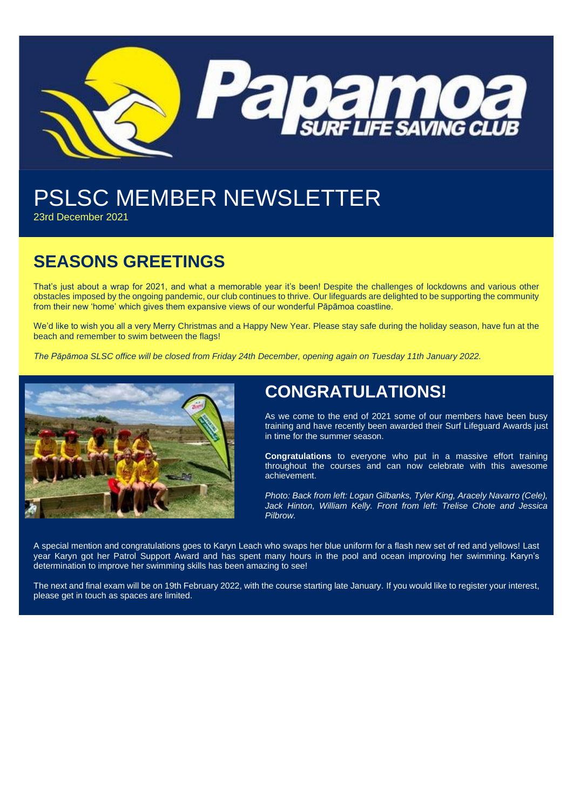

# PSLSC MEMBER NEWSLETTER

23rd December 2021

# **SEASONS GREETINGS**

That's just about a wrap for 2021, and what a memorable year it's been! Despite the challenges of lockdowns and various other obstacles imposed by the ongoing pandemic, our club continues to thrive. Our lifeguards are delighted to be supporting the community from their new 'home' which gives them expansive views of our wonderful Pāpāmoa coastline.

We'd like to wish you all a very Merry Christmas and a Happy New Year. Please stay safe during the holiday season, have fun at the beach and remember to swim between the flags!

*The Pāpāmoa SLSC office will be closed from Friday 24th December, opening again on Tuesday 11th January 2022.*



# **CONGRATULATIONS!**

As we come to the end of 2021 some of our members have been busy training and have recently been awarded their Surf Lifeguard Awards just in time for the summer season.

**Congratulations** to everyone who put in a massive effort training throughout the courses and can now celebrate with this awesome achievement.

*Photo: Back from left: Logan Gilbanks, Tyler King, Aracely Navarro (Cele), Jack Hinton, William Kelly. Front from left: Trelise Chote and Jessica Pilbrow.*

A special mention and congratulations goes to Karyn Leach who swaps her blue uniform for a flash new set of red and yellows! Last year Karyn got her Patrol Support Award and has spent many hours in the pool and ocean improving her swimming. Karyn's determination to improve her swimming skills has been amazing to see!

The next and final exam will be on 19th February 2022, with the course starting late January. If you would like to register your interest, please get in touch as spaces are limited.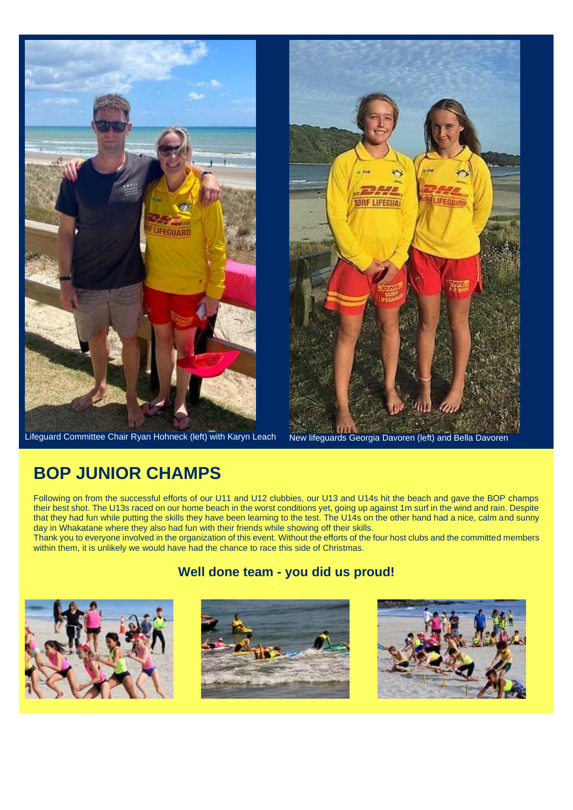

Lifeguard Committee Chair Ryan Hohneck (left) with Karyn Leach New lifeguards Georgia Davoren (left) and Bella Davoren



### **BOP JUNIOR CHAMPS**

Following on from the successful efforts of our U11 and U12 clubbies, our U13 and U14s hit the beach and gave the BOP champs their best shot. The U13s raced on our home beach in the worst conditions yet, going up against 1m surf in the wind and rain. Despite that they had fun while putting the skills they have been learning to the test. The U14s on the other hand had a nice, calm and sunny day in Whakatane where they also had fun with their friends while showing off their skills.

Thank you to everyone involved in the organization of this event. Without the efforts of the four host clubs and the committed members within them, it is unlikely we would have had the chance to race this side of Christmas.



#### **Well done team - you did us proud!**



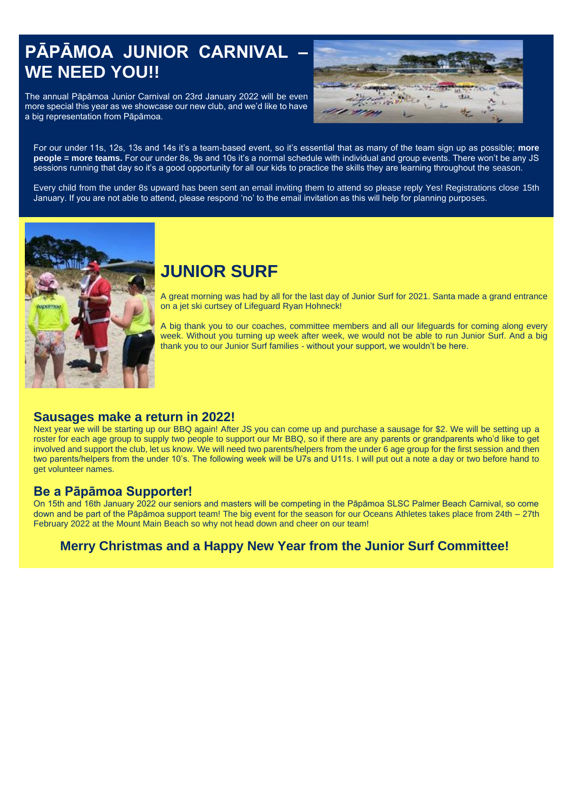# **PĀPĀMOA JUNIOR CARNIVAL – WE NEED YOU!!**

The annual Pāpāmoa Junior Carnival on 23rd January 2022 will be even more special this year as we showcase our new club, and we'd like to have a big representation from Pāpāmoa.



For our under 11s, 12s, 13s and 14s it's a team-based event, so it's essential that as many of the team sign up as possible; **more people = more teams.** For our under 8s, 9s and 10s it's a normal schedule with individual and group events. There won't be any JS sessions running that day so it's a good opportunity for all our kids to practice the skills they are learning throughout the season.

Every child from the under 8s upward has been sent an email inviting them to attend so please reply Yes! Registrations close 15th January. If you are not able to attend, please respond 'no' to the email invitation as this will help for planning purposes.



# **JUNIOR SURF**

A great morning was had by all for the last day of Junior Surf for 2021. Santa made a grand entrance on a jet ski curtsey of Lifeguard Ryan Hohneck!

A big thank you to our coaches, committee members and all our lifeguards for coming along every week. Without you turning up week after week, we would not be able to run Junior Surf. And a big thank you to our Junior Surf families - without your support, we wouldn't be here.

#### **Sausages make a return in 2022!**

Next year we will be starting up our BBQ again! After JS you can come up and purchase a sausage for \$2. We will be setting up a roster for each age group to supply two people to support our Mr BBQ, so if there are any parents or grandparents who'd like to get involved and support the club, let us know. We will need two parents/helpers from the under 6 age group for the first session and then two parents/helpers from the under 10's. The following week will be U7s and U11s. I will put out a note a day or two before hand to get volunteer names.

#### **Be a Pāpāmoa Supporter!**

On 15th and 16th January 2022 our seniors and masters will be competing in the Pāpāmoa SLSC Palmer Beach Carnival, so come down and be part of the Pāpāmoa support team! The big event for the season for our Oceans Athletes takes place from 24th – 27th February 2022 at the Mount Main Beach so why not head down and cheer on our team!

#### **Merry Christmas and a Happy New Year from the Junior Surf Committee!**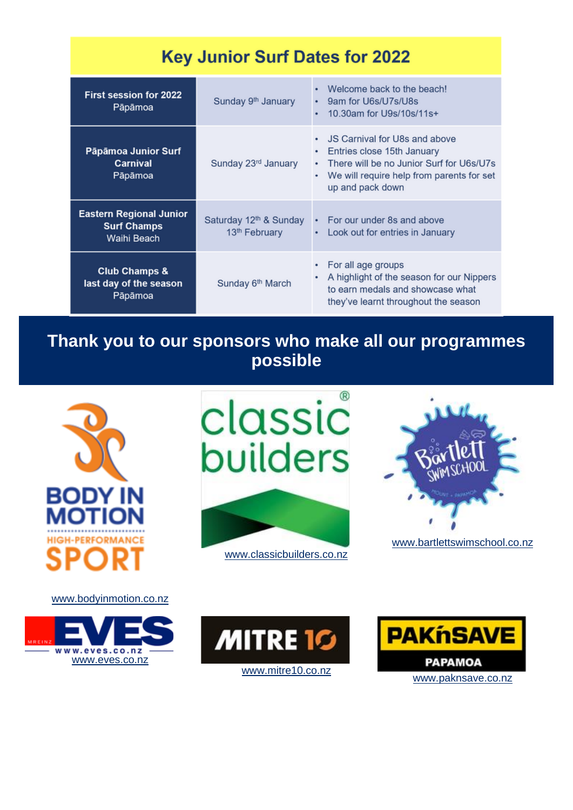| <b>Key Junior Surf Dates for 2022</b>                               |                                                                 |                                                                                                                                                                                 |
|---------------------------------------------------------------------|-----------------------------------------------------------------|---------------------------------------------------------------------------------------------------------------------------------------------------------------------------------|
| <b>First session for 2022</b><br>Pāpāmoa                            | Sunday 9 <sup>th</sup> January                                  | Welcome back to the beach!<br>9am for U6s/U7s/U8s<br>10.30am for U9s/10s/11s+                                                                                                   |
| Pāpāmoa Junior Surf<br><b>Carnival</b><br>Pāpāmoa                   | Sunday 23rd January                                             | JS Carnival for U8s and above<br>Entries close 15th January<br>٠<br>• There will be no Junior Surf for U6s/U7s<br>We will require help from parents for set<br>up and pack down |
| <b>Eastern Regional Junior</b><br><b>Surf Champs</b><br>Waihi Beach | Saturday 12 <sup>th</sup> & Sunday<br>13 <sup>th</sup> February | • For our under 8s and above<br>Look out for entries in January<br>٠                                                                                                            |
| <b>Club Champs &amp;</b><br>last day of the season<br>Pāpāmoa       | Sunday 6 <sup>th</sup> March                                    | For all age groups<br>A highlight of the season for our Nippers<br>to earn medals and showcase what<br>they've learnt throughout the season                                     |

**Thank you to our sponsors who make all our programmes possible**



<www.bodyinmotion.co.nz>